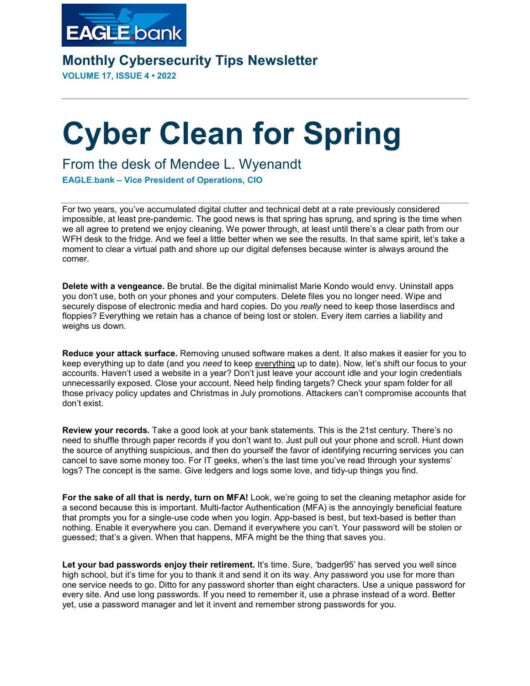

**Monthly Cybersecurity Tips Newsletter**

**VOLUME 17, ISSUE 4 • 2022**

## **Cyber Clean for Spring**

## From the desk of Mendee L. Wyenandt

**EAGLE.bank – Vice President of Operations, CIO**

For two years, you've accumulated digital clutter and technical debt at a rate previously considered impossible, at least pre-pandemic. The good news is that spring has sprung, and spring is the time when we all agree to pretend we enjoy cleaning. We power through, at least until there's a clear path from our WFH desk to the fridge. And we feel a little better when we see the results. In that same spirit, let's take a moment to clear a virtual path and shore up our digital defenses because winter is always around the corner.

**Delete with a vengeance.** Be brutal. Be the digital minimalist Marie Kondo would envy. Uninstall apps you don't use, both on your phones and your computers. Delete files you no longer need. Wipe and securely dispose of electronic media and hard copies. Do you *really* need to keep those laserdiscs and floppies? Everything we retain has a chance of being lost or stolen. Every item carries a liability and weighs us down.

**Reduce your attack surface.** Removing unused software makes a dent. It also makes it easier for you to keep everything up to date (and you *need* to keep everything up to date). Now, let's shift our focus to your accounts. Haven't used a website in a year? Don't just leave your account idle and your login credentials unnecessarily exposed. Close your account. Need help finding targets? Check your spam folder for all those privacy policy updates and Christmas in July promotions. Attackers can't compromise accounts that don't exist.

**Review your records.** Take a good look at your bank statements. This is the 21st century. There's no need to shuffle through paper records if you don't want to. Just pull out your phone and scroll. Hunt down the source of anything suspicious, and then do yourself the favor of identifying recurring services you can cancel to save some money too. For IT geeks, when's the last time you've read through your systems' logs? The concept is the same. Give ledgers and logs some love, and tidy-up things you find.

**For the sake of all that is nerdy, turn on MFA!** Look, we're going to set the cleaning metaphor aside for a second because this is important. Multi-factor Authentication (MFA) is the annoyingly beneficial feature that prompts you for a single-use code when you login. App-based is best, but text-based is better than nothing. Enable it everywhere you can. Demand it everywhere you can't. Your password will be stolen or guessed; that's a given. When that happens, MFA might be the thing that saves you.

**Let your bad passwords enjoy their retirement.** It's time. Sure, 'badger95' has served you well since high school, but it's time for you to thank it and send it on its way. Any password you use for more than one service needs to go. Ditto for any password shorter than eight characters. Use a unique password for every site. And use long passwords. If you need to remember it, use a phrase instead of a word. Better yet, use a password manager and let it invent and remember strong passwords for you.